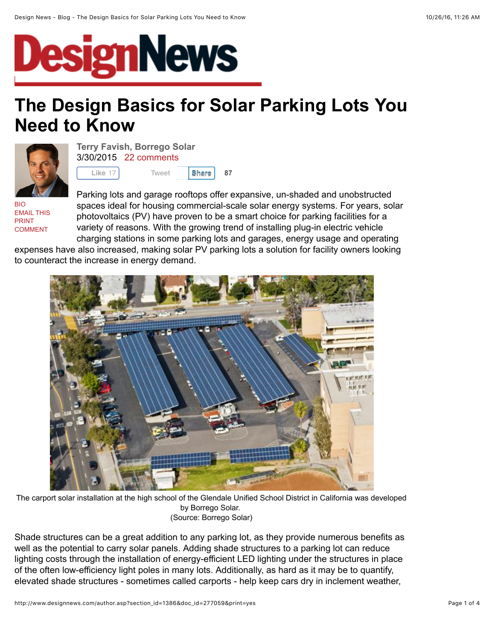

# **The Design Basics for Solar Parking Lots You Need to Know**

**[Share](javascript:void(0);) 87**



**[Terry Favish, Borrego Solar](http://www.designnews.com/author.asp?section_id=1386&doc_id=277059&)** 3/30/2015 [22 comments](http://www.designnews.com/author.asp?section_id=1386&doc_id=277059&print=yes#msgs)

**Like** 17 [Tweet](https://twitter.com/intent/tweet?original_referer=http%3A%2F%2Fwww.designnews.com%2Fauthor.asp%3Fsection_id%3D1386%26doc_id%3D277059%26print%3Dyes&ref_src=twsrc%5Etfw&text=Design%20News%20-%20Blog%20-%20The%20Design%20Basics%20for%20Solar%20Parking%20Lots%20You%20Need%20to%20Know&tw_p=tweetbutton&url=http%3A%2F%2Fwww.designnews.com%2Fauthor.asp%3Fdoc_id%3D277059%26section_id%3D1386&via=designnews)

[BIO](http://www.designnews.com/author.asp?section_id=1386&doc_id=277059&) [EMAIL THIS](http://www.designnews.com/email.asp) [PRINT](http://www.designnews.com/author.asp?section_id=1386&doc_id=277059&print=yes) [COMMENT](http://www.designnews.com/author.asp?section_id=1386&doc_id=277059&print=yes#msgs)

Parking lots and garage rooftops offer expansive, un-shaded and unobstructed spaces ideal for housing commercial-scale solar energy systems. For years, solar photovoltaics (PV) have proven to be a smart choice for parking facilities for a variety of reasons. With the growing trend of installing plug-in electric vehicle charging stations in some parking lots and garages, energy usage and operating

expenses have also increased, making solar PV parking lots a solution for facility owners looking to counteract the increase in energy demand.



The carport solar installation at the high school of the Glendale Unified School District in California was developed by Borrego Solar. (Source: Borrego Solar)

Shade structures can be a great addition to any parking lot, as they provide numerous benefits as well as the potential to carry solar panels. Adding shade structures to a parking lot can reduce lighting costs through the installation of energy-efficient LED lighting under the structures in place of the often low-efficiency light poles in many lots. Additionally, as hard as it may be to quantify, elevated shade structures - sometimes called carports - help keep cars dry in inclement weather,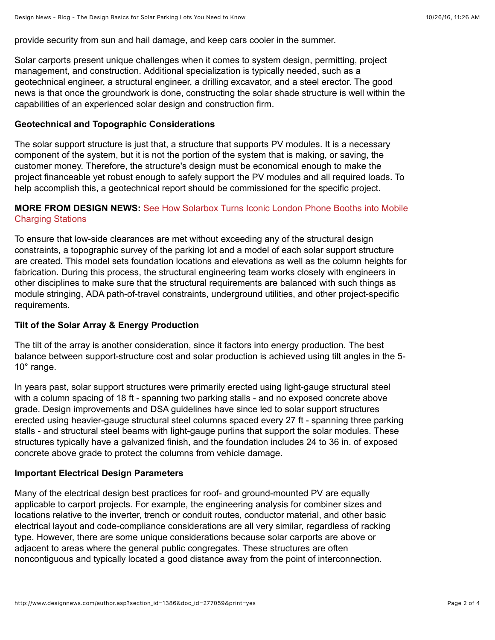provide security from sun and hail damage, and keep cars cooler in the summer.

Solar carports present unique challenges when it comes to system design, permitting, project management, and construction. Additional specialization is typically needed, such as a geotechnical engineer, a structural engineer, a drilling excavator, and a steel erector. The good news is that once the groundwork is done, constructing the solar shade structure is well within the capabilities of an experienced solar design and construction firm.

#### **Geotechnical and Topographic Considerations**

The solar support structure is just that, a structure that supports PV modules. It is a necessary component of the system, but it is not the portion of the system that is making, or saving, the customer money. Therefore, the structure's design must be economical enough to make the project financeable yet robust enough to safely support the PV modules and all required loads. To help accomplish this, a geotechnical report should be commissioned for the specific project.

## **MORE FROM DESIGN NEWS:** [See How Solarbox Turns Iconic London Phone Booths into Mobile](http://www.designnews.com/author.asp?section_id=1386&doc_id=276968) Charging Stations

To ensure that low-side clearances are met without exceeding any of the structural design constraints, a topographic survey of the parking lot and a model of each solar support structure are created. This model sets foundation locations and elevations as well as the column heights for fabrication. During this process, the structural engineering team works closely with engineers in other disciplines to make sure that the structural requirements are balanced with such things as module stringing, ADA path-of-travel constraints, underground utilities, and other project-specific requirements.

## **Tilt of the Solar Array & Energy Production**

The tilt of the array is another consideration, since it factors into energy production. The best balance between support-structure cost and solar production is achieved using tilt angles in the 5- 10° range.

In years past, solar support structures were primarily erected using light-gauge structural steel with a column spacing of 18 ft - spanning two parking stalls - and no exposed concrete above grade. Design improvements and DSA guidelines have since led to solar support structures erected using heavier-gauge structural steel columns spaced every 27 ft - spanning three parking stalls - and structural steel beams with light-gauge purlins that support the solar modules. These structures typically have a galvanized finish, and the foundation includes 24 to 36 in. of exposed concrete above grade to protect the columns from vehicle damage.

## **Important Electrical Design Parameters**

Many of the electrical design best practices for roof- and ground-mounted PV are equally applicable to carport projects. For example, the engineering analysis for combiner sizes and locations relative to the inverter, trench or conduit routes, conductor material, and other basic electrical layout and code*-*compliance considerations are all very similar, regardless of racking type. However, there are some unique considerations because solar carports are above or adjacent to areas where the general public congregates. These structures are often noncontiguous and typically located a good distance away from the point of interconnection.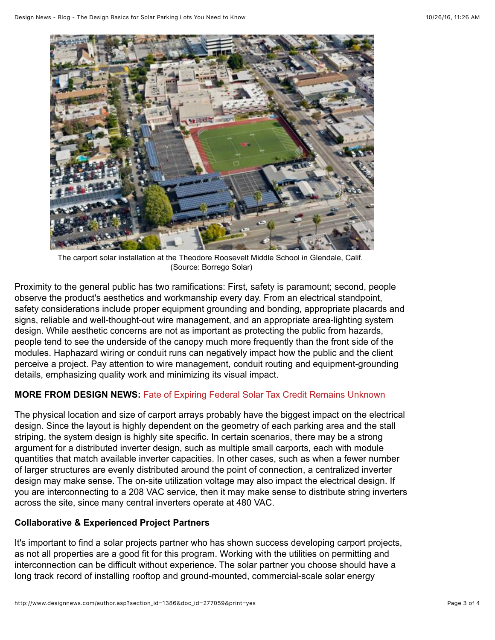

The carport solar installation at the Theodore Roosevelt Middle School in Glendale, Calif. (Source: Borrego Solar)

Proximity to the general public has two ramifications: First, safety is paramount; second, people observe the product's aesthetics and workmanship every day. From an electrical standpoint, safety considerations include proper equipment grounding and bonding, appropriate placards and signs, reliable and well-thought-out wire management, and an appropriate area-lighting system design. While aesthetic concerns are not as important as protecting the public from hazards, people tend to see the underside of the canopy much more frequently than the front side of the modules. Haphazard wiring or conduit runs can negatively impact how the public and the client perceive a project. Pay attention to wire management, conduit routing and equipment-grounding details, emphasizing quality work and minimizing its visual impact.

## **MORE FROM DESIGN NEWS:** [Fate of Expiring Federal Solar Tax Credit Remains Unknown](http://www.designnews.com/document.asp?doc_id=276914)

The physical location and size of carport arrays probably have the biggest impact on the electrical design. Since the layout is highly dependent on the geometry of each parking area and the stall striping, the system design is highly site specific. In certain scenarios, there may be a strong argument for a distributed inverter design, such as multiple small carports, each with module quantities that match available inverter capacities. In other cases, such as when a fewer number of larger structures are evenly distributed around the point of connection, a centralized inverter design may make sense. The on-site utilization voltage may also impact the electrical design. If you are interconnecting to a 208 VAC service, then it may make sense to distribute string inverters across the site, since many central inverters operate at 480 VAC.

## **Collaborative & Experienced Project Partners**

It's important to find a solar projects partner who has shown success developing carport projects, as not all properties are a good fit for this program. Working with the utilities on permitting and interconnection can be difficult without experience. The solar partner you choose should have a long track record of installing rooftop and ground-mounted, commercial-scale solar energy